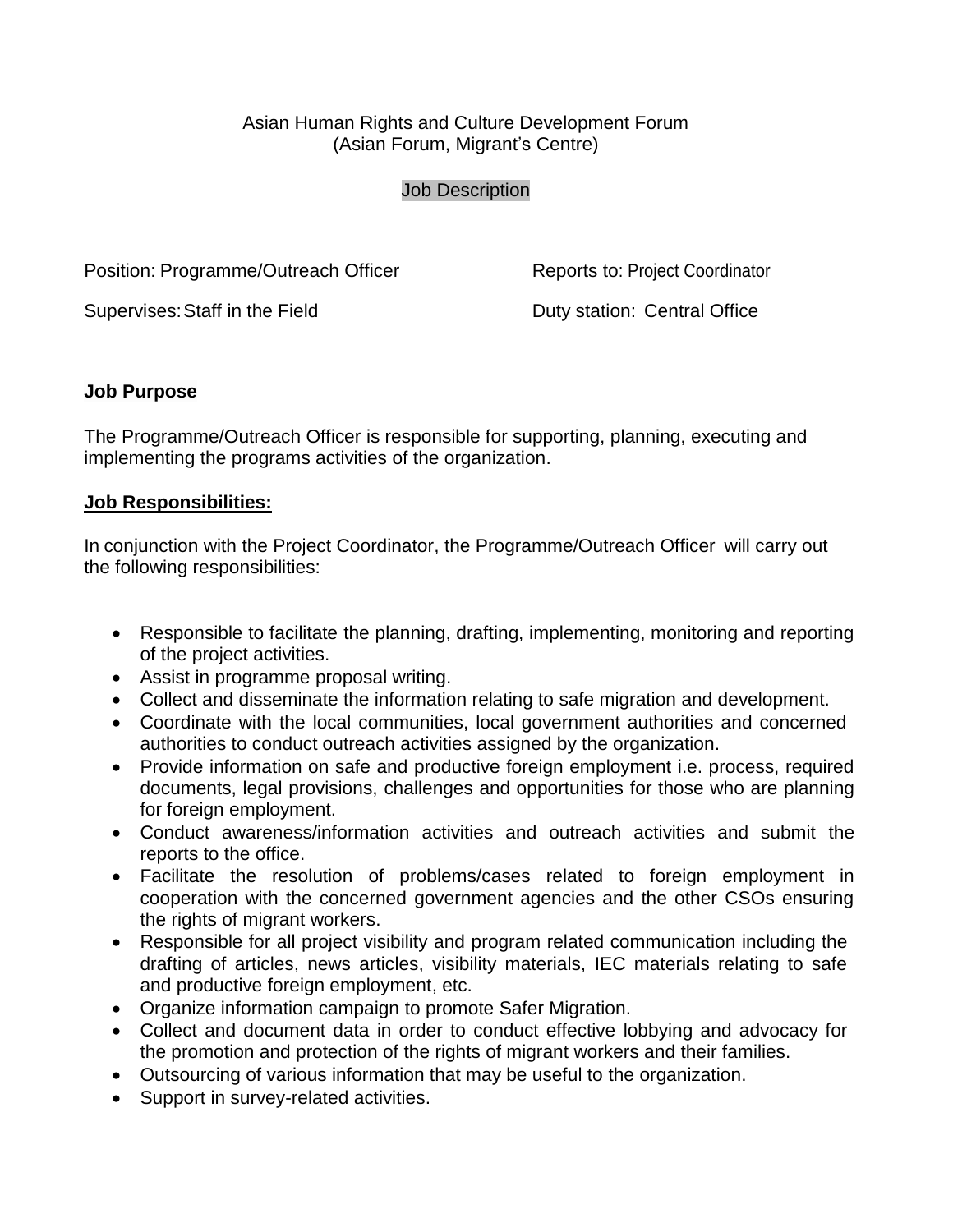## Asian Human Rights and Culture Development Forum (Asian Forum, Migrant's Centre)

#### Job Description

Position: Programme/Outreach Officer Reports to: Project Coordinator

Supervises: Staff in the Field **Duty station: Central Office** 

## **Job Purpose**

The Programme/Outreach Officer is responsible for supporting, planning, executing and implementing the programs activities of the organization.

#### **Job Responsibilities:**

In conjunction with the Project Coordinator, the Programme/Outreach Officer will carry out the following responsibilities:

- Responsible to facilitate the planning, drafting, implementing, monitoring and reporting of the project activities.
- Assist in programme proposal writing.
- Collect and disseminate the information relating to safe migration and development.
- Coordinate with the local communities, local government authorities and concerned authorities to conduct outreach activities assigned by the organization.
- Provide information on safe and productive foreign employment i.e. process, required documents, legal provisions, challenges and opportunities for those who are planning for foreign employment.
- Conduct awareness/information activities and outreach activities and submit the reports to the office.
- Facilitate the resolution of problems/cases related to foreign employment in cooperation with the concerned government agencies and the other CSOs ensuring the rights of migrant workers.
- Responsible for all project visibility and program related communication including the drafting of articles, news articles, visibility materials, IEC materials relating to safe and productive foreign employment, etc.
- Organize information campaign to promote Safer Migration.
- Collect and document data in order to conduct effective lobbying and advocacy for the promotion and protection of the rights of migrant workers and their families.
- Outsourcing of various information that may be useful to the organization.
- Support in survey-related activities.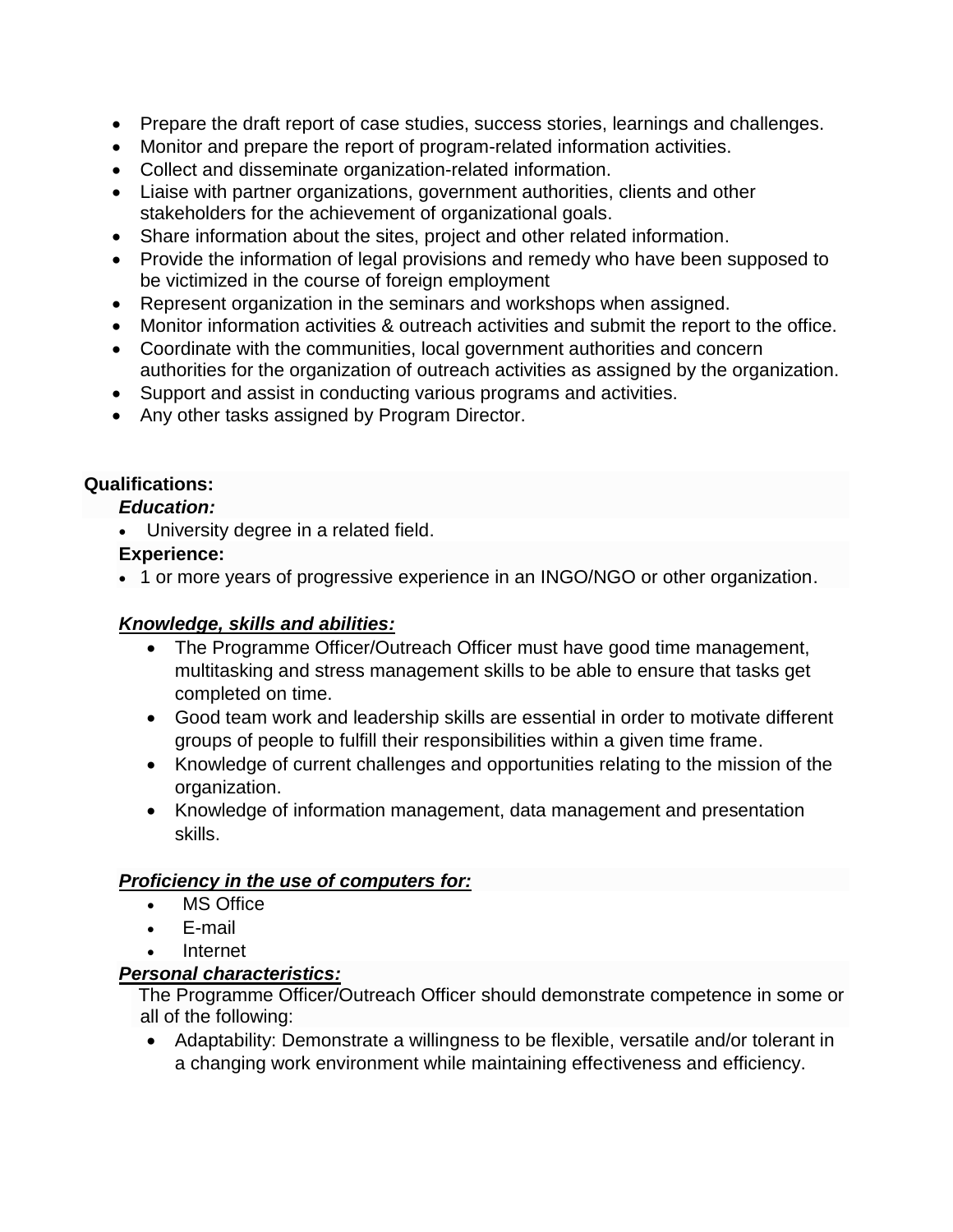- Prepare the draft report of case studies, success stories, learnings and challenges.
- Monitor and prepare the report of program-related information activities.
- Collect and disseminate organization-related information.
- Liaise with partner organizations, government authorities, clients and other stakeholders for the achievement of organizational goals.
- Share information about the sites, project and other related information.
- Provide the information of legal provisions and remedy who have been supposed to be victimized in the course of foreign employment
- Represent organization in the seminars and workshops when assigned.
- Monitor information activities & outreach activities and submit the report to the office.
- Coordinate with the communities, local government authorities and concern authorities for the organization of outreach activities as assigned by the organization.
- Support and assist in conducting various programs and activities.
- Any other tasks assigned by Program Director.

# **Qualifications:**

#### *Education:*

University degree in a related field.

## **Experience:**

1 or more years of progressive experience in an INGO/NGO or other organization.

# *Knowledge, skills and abilities:*

- The Programme Officer/Outreach Officer must have good time management, multitasking and stress management skills to be able to ensure that tasks get completed on time.
- Good team work and leadership skills are essential in order to motivate different groups of people to fulfill their responsibilities within a given time frame.
- Knowledge of current challenges and opportunities relating to the mission of the organization.
- Knowledge of information management, data management and presentation skills.

# *Proficiency in the use of computers for:*

- MS Office
- E-mail
- Internet

# *Personal characteristics:*

The Programme Officer/Outreach Officer should demonstrate competence in some or all of the following:

 Adaptability: Demonstrate a willingness to be flexible, versatile and/or tolerant in a changing work environment while maintaining effectiveness and efficiency.